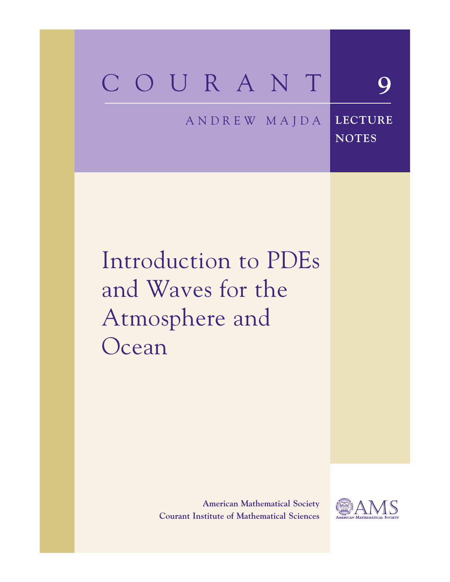# COURANT **9**

#### A N D R E W M A J D A **LECTURE**

Introduction to PDEs and Waves for the Atmosphere and Ocean

> **American Mathematical Society Courant Institute of Mathematical Sciences**



**NOTES**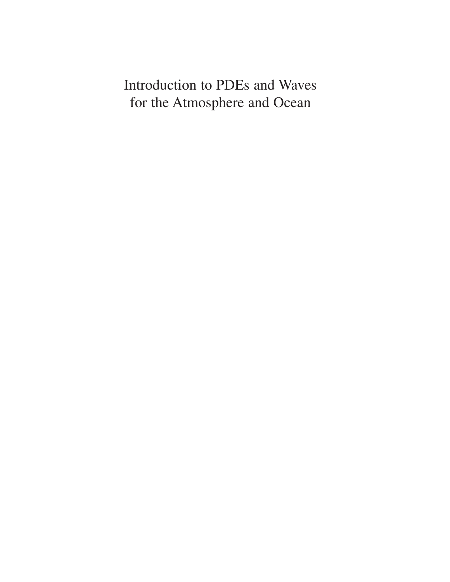Introduction to PDEs and Waves for the Atmosphere and Ocean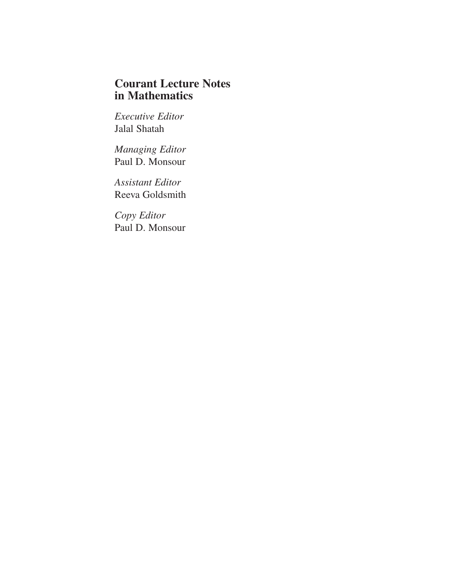## **Courant Lecture Notes** in Mathematics

**Executive Editor** Jalal Shatah

Managing Editor Paul D. Monsour

**Assistant Editor** Reeva Goldsmith

Copy Editor Paul D. Monsour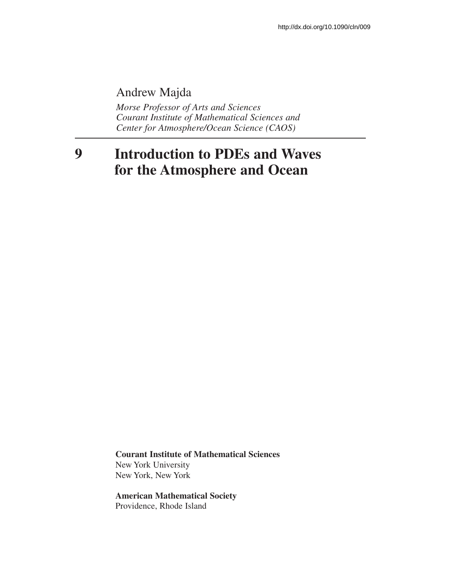# Andrew Majda

Morse Professor of Arts and Sciences Courant Institute of Mathematical Sciences and Center for Atmosphere/Ocean Science (CAOS)

### $\boldsymbol{9}$ **Introduction to PDEs and Waves** for the Atmosphere and Ocean

**Courant Institute of Mathematical Sciences** New York University New York, New York

**American Mathematical Society** Providence, Rhode Island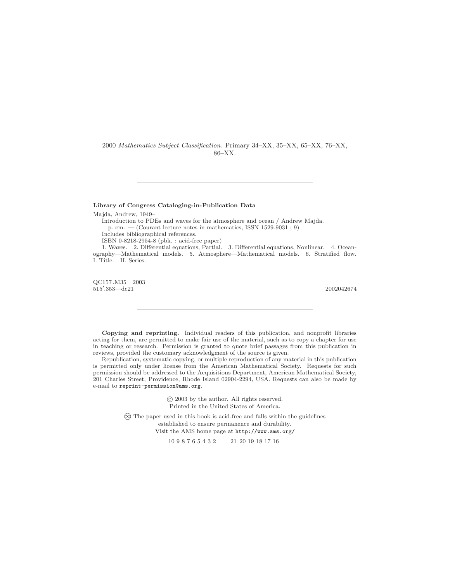2000 *Mathematics Subject Classification*. Primary 34–XX, 35–XX, 65–XX, 76–XX, 86–XX.

### **Library of Congress Cataloging-in-Publication Data**

Majda, Andrew, 1949–

Introduction to PDEs and waves for the atmosphere and ocean / Andrew Majda. p. cm. — (Courant lecture notes in mathematics, ISSN 1529-9031 ; 9)

Includes bibliographical references.

ISBN 0-8218-2954-8 (pbk. : acid-free paper)

1. Waves. 2. Differential equations, Partial. 3. Differential equations, Nonlinear. 4. Oceanography—Mathematical models. 5. Atmosphere—Mathematical models. 6. Stratified flow. I. Title. II. Series.

QC157 .M35 2003  $515'$  $.353 - dc21$  2002042674

**Copying and reprinting.** Individual readers of this publication, and nonprofit libraries acting for them, are permitted to make fair use of the material, such as to copy a chapter for use in teaching or research. Permission is granted to quote brief passages from this publication in reviews, provided the customary acknowledgment of the source is given.

Republication, systematic copying, or multiple reproduction of any material in this publication is permitted only under license from the American Mathematical Society. Requests for such permission should be addressed to the Acquisitions Department, American Mathematical Society, 201 Charles Street, Providence, Rhode Island 02904-2294, USA. Requests can also be made by e-mail to reprint-permission@ams.org.

> -c 2003 by the author. All rights reserved. Printed in the United States of America.

- ∞ The paper used in this book is acid-free and falls within the guidelines established to ensure permanence and durability. Visit the AMS home page at  $http://www.ams.org/$ <br>10 9 8 7 6 5 4 3 2 21 20 19 18 17 16

21 20 19 18 17 16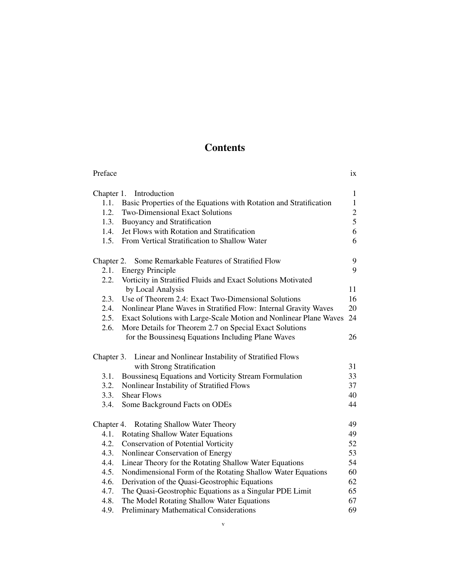# **Contents**

| Preface                                                                    | 1X             |
|----------------------------------------------------------------------------|----------------|
| Chapter 1. Introduction                                                    | $\mathbf{1}$   |
| 1.1.<br>Basic Properties of the Equations with Rotation and Stratification | $\mathbf{1}$   |
| 1.2.<br><b>Two-Dimensional Exact Solutions</b>                             | $\overline{c}$ |
| 1.3.<br><b>Buoyancy and Stratification</b>                                 | 5              |
| Jet Flows with Rotation and Stratification<br>1.4.                         | 6              |
| From Vertical Stratification to Shallow Water<br>1.5.                      | 6              |
|                                                                            |                |
| Some Remarkable Features of Stratified Flow<br>Chapter 2.                  | 9              |
| 2.1.<br><b>Energy Principle</b>                                            | 9              |
| 2.2.<br>Vorticity in Stratified Fluids and Exact Solutions Motivated       |                |
| by Local Analysis                                                          | 11             |
| 2.3.<br>Use of Theorem 2.4: Exact Two-Dimensional Solutions                | 16             |
| 2.4.<br>Nonlinear Plane Waves in Stratified Flow: Internal Gravity Waves   | 20             |
| Exact Solutions with Large-Scale Motion and Nonlinear Plane Waves<br>2.5.  | 24             |
| More Details for Theorem 2.7 on Special Exact Solutions<br>2.6.            |                |
| for the Boussinesq Equations Including Plane Waves                         | 26             |
|                                                                            |                |
| Linear and Nonlinear Instability of Stratified Flows<br>Chapter 3.         |                |
| with Strong Stratification                                                 | 31             |
| Boussinesq Equations and Vorticity Stream Formulation<br>3.1.              | 33             |
| 3.2.<br>Nonlinear Instability of Stratified Flows                          | 37             |
| <b>Shear Flows</b><br>3.3.                                                 | 40             |
| 3.4.<br>Some Background Facts on ODEs                                      | 44             |
|                                                                            |                |
| Chapter 4. Rotating Shallow Water Theory                                   | 49             |
| 4.1.<br><b>Rotating Shallow Water Equations</b>                            | 49             |
| 4.2.<br><b>Conservation of Potential Vorticity</b>                         | 52             |
| 4.3.<br>Nonlinear Conservation of Energy                                   | 53             |
| Linear Theory for the Rotating Shallow Water Equations<br>4.4.             | 54             |
| 4.5.<br>Nondimensional Form of the Rotating Shallow Water Equations        | 60             |
| 4.6.<br>Derivation of the Quasi-Geostrophic Equations                      | 62             |
| The Quasi-Geostrophic Equations as a Singular PDE Limit<br>4.7.            | 65             |
| The Model Rotating Shallow Water Equations<br>4.8.                         | 67             |
| 4.9.<br>Preliminary Mathematical Considerations                            | 69             |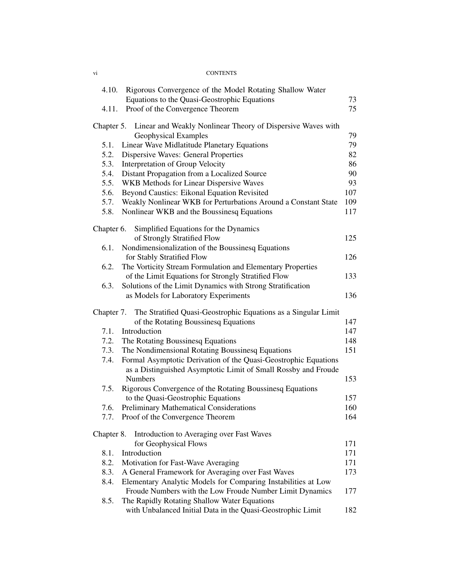### VI #/.4%.43

| 4.10.      | Rigorous Convergence of the Model Rotating Shallow Water                                                                          |     |
|------------|-----------------------------------------------------------------------------------------------------------------------------------|-----|
|            | Equations to the Quasi-Geostrophic Equations                                                                                      | 73  |
| 4.11.      | Proof of the Convergence Theorem                                                                                                  | 75  |
| Chapter 5. | Linear and Weakly Nonlinear Theory of Dispersive Waves with                                                                       |     |
|            | Geophysical Examples                                                                                                              | 79  |
| 5.1.       | Linear Wave Midlatitude Planetary Equations                                                                                       | 79  |
| 5.2.       | Dispersive Waves: General Properties                                                                                              | 82  |
| 5.3.       | Interpretation of Group Velocity                                                                                                  | 86  |
| 5.4.       | Distant Propagation from a Localized Source                                                                                       | 90  |
| 5.5.       | WKB Methods for Linear Dispersive Waves                                                                                           | 93  |
| 5.6.       | Beyond Caustics: Eikonal Equation Revisited                                                                                       | 107 |
| 5.7.       | Weakly Nonlinear WKB for Perturbations Around a Constant State                                                                    | 109 |
| 5.8.       | Nonlinear WKB and the Boussinesq Equations                                                                                        | 117 |
| Chapter 6. | Simplified Equations for the Dynamics                                                                                             |     |
|            | of Strongly Stratified Flow                                                                                                       | 125 |
| 6.1.       | Nondimensionalization of the Boussinesq Equations                                                                                 |     |
|            | for Stably Stratified Flow                                                                                                        | 126 |
| 6.2.       | The Vorticity Stream Formulation and Elementary Properties                                                                        |     |
|            | of the Limit Equations for Strongly Stratified Flow                                                                               | 133 |
| 6.3.       | Solutions of the Limit Dynamics with Strong Stratification                                                                        |     |
|            | as Models for Laboratory Experiments                                                                                              | 136 |
| Chapter 7. | The Stratified Quasi-Geostrophic Equations as a Singular Limit                                                                    |     |
|            | of the Rotating Boussinesq Equations                                                                                              | 147 |
| 7.1.       | Introduction                                                                                                                      | 147 |
| 7.2.       | The Rotating Boussinesq Equations                                                                                                 | 148 |
| 7.3.       | The Nondimensional Rotating Boussinesq Equations                                                                                  | 151 |
| 7.4.       | Formal Asymptotic Derivation of the Quasi-Geostrophic Equations<br>as a Distinguished Asymptotic Limit of Small Rossby and Froude |     |
|            | <b>Numbers</b>                                                                                                                    | 153 |
| 7.5.       | Rigorous Convergence of the Rotating Boussinesq Equations                                                                         |     |
|            | to the Quasi-Geostrophic Equations                                                                                                | 157 |
| 7.6.       | Preliminary Mathematical Considerations                                                                                           | 160 |
|            | Proof of the Convergence Theorem                                                                                                  | 164 |
| Chapter 8. | Introduction to Averaging over Fast Waves                                                                                         |     |
|            | for Geophysical Flows                                                                                                             | 171 |
| 8.1.       | Introduction                                                                                                                      | 171 |
| 8.2.       | Motivation for Fast-Wave Averaging                                                                                                | 171 |
| 8.3.       | A General Framework for Averaging over Fast Waves                                                                                 | 173 |
| 8.4.       | Elementary Analytic Models for Comparing Instabilities at Low                                                                     |     |
|            | Froude Numbers with the Low Froude Number Limit Dynamics                                                                          | 177 |
| 8.5.       | The Rapidly Rotating Shallow Water Equations                                                                                      |     |
|            | with Unbalanced Initial Data in the Quasi-Geostrophic Limit                                                                       | 182 |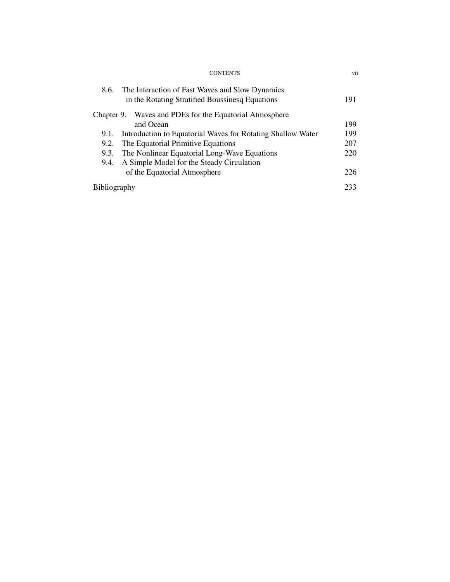| vii |
|-----|
|     |
| 191 |
|     |
| 199 |
| 199 |
| 207 |
| 220 |
|     |
| 226 |
| 233 |
|     |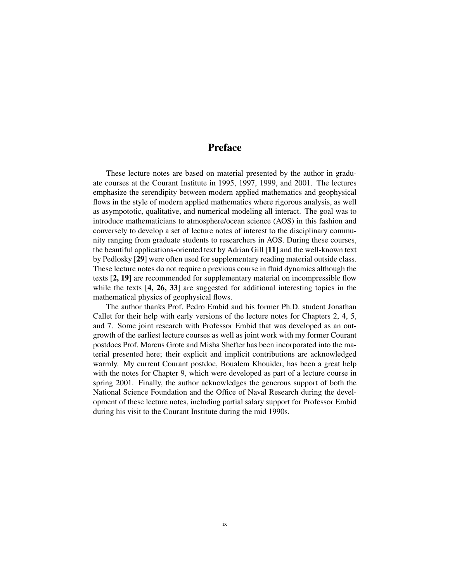### **Preface**

These lecture notes are based on material presented by the author in graduate courses at the Courant Institute in 1995, 1997, 1999, and 2001. The lectures emphasize the serendipity between modern applied mathematics and geophysical flows in the style of modern applied mathematics where rigorous analysis, as well as asympototic, qualitative, and numerical modeling all interact. The goal was to introduce mathematicians to atmosphere/ocean science (AOS) in this fashion and conversely to develop a set of lecture notes of interest to the disciplinary community ranging from graduate students to researchers in AOS. During these courses, the beautiful applications-oriented text by Adrian Gill  $[11]$  and the well-known text by Pedlosky [29] were often used for supplementary reading material outside class. These lecture notes do not require a previous course in fluid dynamics although the texts [2, 19] are recommended for supplementary material on incompressible flow while the texts  $\begin{bmatrix} 4, 26, 33 \end{bmatrix}$  are suggested for additional interesting topics in the mathematical physics of geophysical flows.

The author thanks Prof. Pedro Embid and his former Ph.D. student Jonathan Callet for their help with early versions of the lecture notes for Chapters 2, 4, 5, and 7. Some joint research with Professor Embid that was developed as an outgrowth of the earliest lecture courses as well as joint work with my former Courant postdocs Prof. Marcus Grote and Misha Shefter has been incorporated into the material presented here; their explicit and implicit contributions are acknowledged warmly. My current Courant postdoc, Boualem Khouider, has been a great help with the notes for Chapter 9, which were developed as part of a lecture course in spring 2001. Finally, the author acknowledges the generous support of both the National Science Foundation and the Office of Naval Research during the development of these lecture notes, including partial salary support for Professor Embid during his visit to the Courant Institute during the mid 1990s.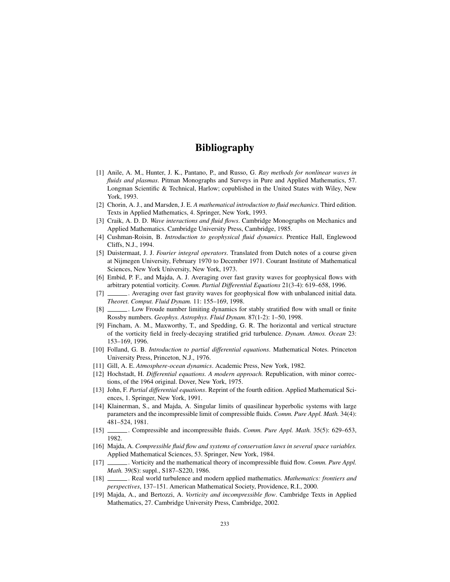### **Bibliography**

- [1] Anile, A. M., Hunter, J. K., Pantano, P., and Russo, G. Ray methods for nonlinear waves in fluids and plasmas. Pitman Monographs and Surveys in Pure and Applied Mathematics, 57. Longman Scientific & Technical, Harlow; copublished in the United States with Wiley, New York, 1993.
- [2] Chorin, A. J., and Marsden, J. E. A mathematical introduction to fluid mechanics. Third edition. Texts in Applied Mathematics, 4. Springer, New York, 1993.
- [3] Craik, A. D. D. Wave interactions and fluid flows. Cambridge Monographs on Mechanics and Applied Mathematics. Cambridge University Press, Cambridge, 1985.
- [4] Cushman-Roisin, B. Introduction to geophysical fluid dynamics. Prentice Hall, Englewood Cliffs, N.J., 1994.
- [5] Duistermaat, J. J. Fourier integral operators. Translated from Dutch notes of a course given at Nijmegen University, February 1970 to December 1971. Courant Institute of Mathematical Sciences, New York University, New York, 1973.
- [6] Embid, P. F., and Majda, A. J. Averaging over fast gravity waves for geophysical flows with arbitrary potential vorticity. Comm. Partial Differential Equations 21(3-4): 619–658, 1996.
- . Averaging over fast gravity waves for geophysical flow with unbalanced initial data.  $[7]$ Theoret. Comput. Fluid Dynam. 11: 155-169, 1998.
- $[8]$ ... Low Froude number limiting dynamics for stably stratified flow with small or finite Rossby numbers. Geophys. Astrophys. Fluid Dynam. 87(1-2): 1-50, 1998.
- [9] Fincham, A. M., Maxworthy, T., and Spedding, G. R. The horizontal and vertical structure of the vorticity field in freely-decaying stratified grid turbulence. Dynam. Atmos. Ocean 23: 153-169, 1996.
- [10] Folland, G. B. Introduction to partial differential equations. Mathematical Notes. Princeton University Press, Princeton, N.J., 1976.
- [11] Gill, A. E. Atmosphere-ocean dynamics. Academic Press, New York, 1982.
- [12] Hochstadt, H. Differential equations. A modern approach. Republication, with minor corrections, of the 1964 original. Dover, New York, 1975.
- [13] John, F. Partial differential equations. Reprint of the fourth edition. Applied Mathematical Sciences, 1. Springer, New York, 1991.
- [14] Klainerman, S., and Majda, A. Singular limits of quasilinear hyperbolic systems with large parameters and the incompressible limit of compressible fluids. Comm. Pure Appl. Math. 34(4): 481-524, 1981.
- $[15]$ . 1982.
- [16] Majda, A. Compressible fluid flow and systems of conservation laws in several space variables. Applied Mathematical Sciences, 53. Springer, New York, 1984.
- \_. Vorticity and the mathematical theory of incompressible fluid flow. Comm. Pure Appl.  $[17] -$ Math. 39(S): suppl., S187-S220, 1986.
- $\lceil 18 \rceil$ Real world turbulence and modern applied mathematics. *Mathematics: frontiers and* perspectives, 137-151. American Mathematical Society, Providence, R.I., 2000.
- [19] Majda, A., and Bertozzi, A. Vorticity and incompressible flow. Cambridge Texts in Applied Mathematics, 27. Cambridge University Press, Cambridge, 2002.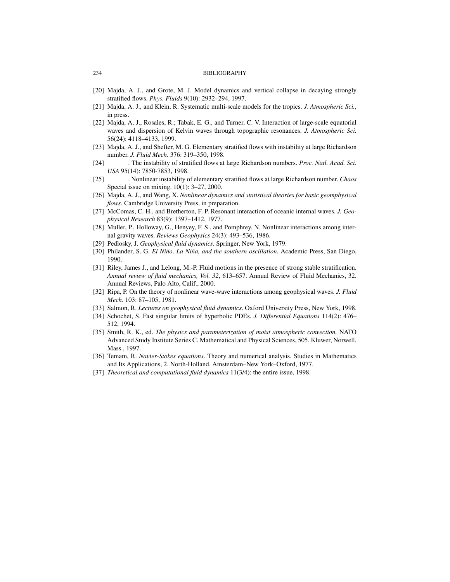#### **BIBLIOGRAPHY**

- [20] Majda, A. J., and Grote, M. J. Model dynamics and vertical collapse in decaying strongly stratified flows. Phys. Fluids 9(10): 2932-294, 1997.
- [21] Majda, A. J., and Klein, R. Systematic multi-scale models for the tropics. J. Atmospheric Sci., in press.
- [22] Majda, A, J., Rosales, R.; Tabak, E. G., and Turner, C. V. Interaction of large-scale equatorial waves and dispersion of Kelvin waves through topographic resonances. J. Atmospheric Sci. 56(24): 4118-4133, 1999.
- [23] Majda, A. J., and Shefter, M. G. Elementary stratified flows with instability at large Richardson number. J. Fluid Mech. 376: 319-350, 1998.
- ... The instability of stratified flows at large Richardson numbers. *Proc. Natl. Acad. Sci.*  $[24]$ USA 95(14): 7850-7853, 1998.
- . Nonlinear instability of elementary stratified flows at large Richardson number. Chaos  $[25]$  -Special issue on mixing. 10(1): 3-27, 2000.
- [26] Majda, A. J., and Wang, X. Nonlinear dynamics and statistical theories for basic geomphysical *flows*. Cambridge University Press, in preparation.
- [27] McComas, C. H., and Bretherton, F. P. Resonant interaction of oceanic internal waves. J. Geophysical Research 83(9): 1397-1412, 1977.
- [28] Muller, P., Holloway, G., Henyey, F. S., and Pomphrey, N. Nonlinear interactions among internal gravity waves. Reviews Geophysics 24(3): 493-536, 1986.
- [29] Pedlosky, J. Geophysical fluid dynamics. Springer, New York, 1979.
- [30] Philander, S. G. El Niño, La Niña, and the southern oscillation. Academic Press, San Diego, 1990.
- [31] Riley, James J., and Lelong, M.-P. Fluid motions in the presence of strong stable stratification. Annual review of fluid mechanics, Vol. 32, 613-657. Annual Review of Fluid Mechanics, 32. Annual Reviews, Palo Alto, Calif., 2000.
- [32] Ripa, P. On the theory of nonlinear wave-wave interactions among geophysical waves. J. Fluid Mech. 103: 87-105, 1981.
- [33] Salmon, R. Lectures on geophysical fluid dynamics. Oxford University Press, New York, 1998.
- [34] Schochet, S. Fast singular limits of hyperbolic PDEs. J. Differential Equations 114(2): 476– 512, 1994.
- [35] Smith, R. K., ed. The physics and parameterization of moist atmospheric convection. NATO Advanced Study Institute Series C. Mathematical and Physical Sciences, 505. Kluwer, Norwell, Mass., 1997.
- [36] Temam, R. Navier-Stokes equations. Theory and numerical analysis. Studies in Mathematics and Its Applications, 2. North-Holland, Amsterdam-New York-Oxford, 1977.
- [37] Theoretical and computational fluid dynamics  $11(3/4)$ : the entire issue, 1998.

234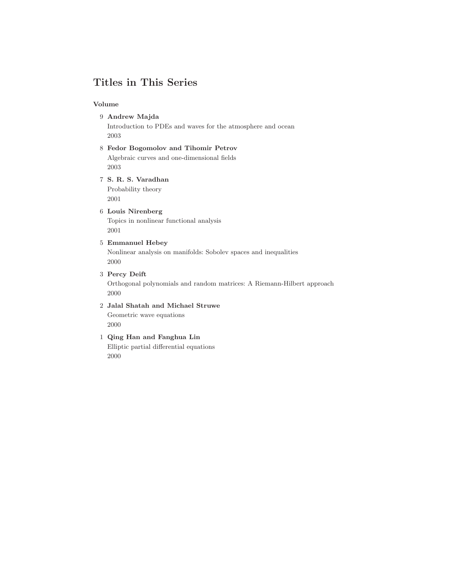## **Titles in This Series**

### **Volume**

**Andrew Majda**

Introduction to PDEs and waves for the atmosphere and ocean 

- **Fedor Bogomolov and Tihomir Petrov** Algebraic curves and one-dimensional fields
- **S. R. S. Varadhan** Probability theory

### **Louis Nirenberg**

Topics in nonlinear functional analysis 

- **Emmanuel Hebey** Nonlinear analysis on manifolds: Sobolev spaces and inequalities
- **Percy Deift** Orthogonal polynomials and random matrices: A Riemann-Hilbert approach
- **Jalal Shatah and Michael Struwe** Geometric wave equations
- **Qing Han and Fanghua Lin** Elliptic partial differential equations